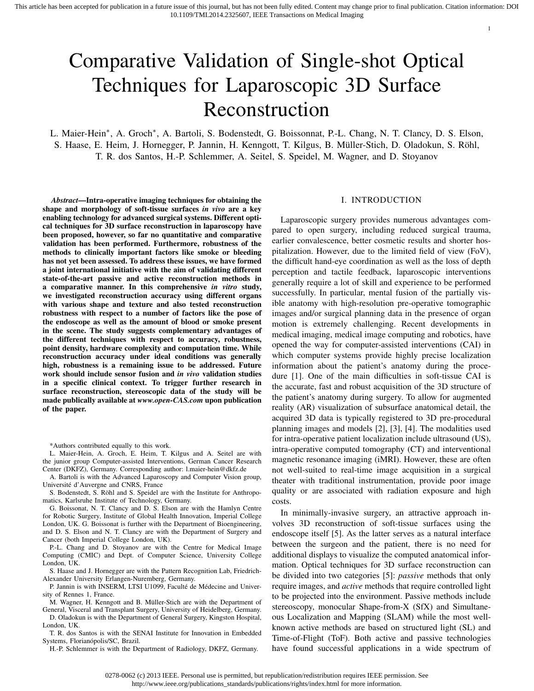# Comparative Validation of Single-shot Optical Techniques for Laparoscopic 3D Surface Reconstruction

L. Maier-Hein<sup>∗</sup>, A. Groch<sup>∗</sup>, A. Bartoli, S. Bodenstedt, G. Boissonnat, P.-L. Chang, N. T. Clancy, D. S. Elson, S. Haase, E. Heim, J. Hornegger, P. Jannin, H. Kenngott, T. Kilgus, B. Müller-Stich, D. Oladokun, S. Röhl, T. R. dos Santos, H.-P. Schlemmer, A. Seitel, S. Speidel, M. Wagner, and D. Stoyanov

*Abstract*—Intra-operative imaging techniques for obtaining the shape and morphology of soft-tissue surfaces *in vivo* are a key enabling technology for advanced surgical systems. Different optical techniques for 3D surface reconstruction in laparoscopy have been proposed, however, so far no quantitative and comparative validation has been performed. Furthermore, robustness of the methods to clinically important factors like smoke or bleeding has not yet been assessed. To address these issues, we have formed a joint international initiative with the aim of validating different state-of-the-art passive and active reconstruction methods in a comparative manner. In this comprehensive *in vitro* study, we investigated reconstruction accuracy using different organs with various shape and texture and also tested reconstruction robustness with respect to a number of factors like the pose of the endoscope as well as the amount of blood or smoke present in the scene. The study suggests complementary advantages of the different techniques with respect to accuracy, robustness, point density, hardware complexity and computation time. While reconstruction accuracy under ideal conditions was generally high, robustness is a remaining issue to be addressed. Future work should include sensor fusion and *in vivo* validation studies in a specific clinical context. To trigger further research in surface reconstruction, stereoscopic data of the study will be made publically available at *www.open-CAS.com* upon publication of the paper.

\*Authors contributed equally to this work.

L. Maier-Hein, A. Groch, E. Heim, T. Kilgus and A. Seitel are with the junior group Computer-assisted Interventions, German Cancer Research Center (DKFZ), Germany. Corresponding author: l.maier-hein@dkfz.de

A. Bartoli is with the Advanced Laparoscopy and Computer Vision group, Université d'Auvergne and CNRS, France

S. Bodenstedt, S. Röhl and S. Speidel are with the Institute for Anthropomatics, Karlsruhe Institute of Technology, Germany.

G. Boissonat, N. T. Clancy and D. S. Elson are with the Hamlyn Centre for Robotic Surgery, Institute of Global Health Innovation, Imperial College London, UK. G. Boissonat is further with the Department of Bioengineering, and D. S. Elson and N. T. Clancy are with the Department of Surgery and Cancer (both Imperial College London, UK).

P.-L. Chang and D. Stoyanov are with the Centre for Medical Image Computing (CMIC) and Dept. of Computer Science, University College London, UK.

S. Haase and J. Hornegger are with the Pattern Recognition Lab, Friedrich-Alexander University Erlangen-Nuremberg, Germany.

P. Jannin is with INSERM, LTSI U1099, Faculté de Médecine and University of Rennes 1, France.

M. Wagner, H. Kenngott and B. Müller-Stich are with the Department of General, Visceral and Transplant Surgery, University of Heidelberg, Germany.

D. Oladokun is with the Department of General Surgery, Kingston Hospital, London, UK.

T. R. dos Santos is with the SENAI Institute for Innovation in Embedded Systems, Florianópolis/SC, Brazil.

H.-P. Schlemmer is with the Department of Radiology, DKFZ, Germany.

## I. INTRODUCTION

1

Laparoscopic surgery provides numerous advantages compared to open surgery, including reduced surgical trauma, earlier convalescence, better cosmetic results and shorter hospitalization. However, due to the limited field of view (FoV), the difficult hand-eye coordination as well as the loss of depth perception and tactile feedback, laparoscopic interventions generally require a lot of skill and experience to be performed successfully. In particular, mental fusion of the partially visible anatomy with high-resolution pre-operative tomographic images and/or surgical planning data in the presence of organ motion is extremely challenging. Recent developments in medical imaging, medical image computing and robotics, have opened the way for computer-assisted interventions (CAI) in which computer systems provide highly precise localization information about the patient's anatomy during the procedure [1]. One of the main difficulties in soft-tissue CAI is the accurate, fast and robust acquisition of the 3D structure of the patient's anatomy during surgery. To allow for augmented reality (AR) visualization of subsurface anatomical detail, the acquired 3D data is typically registered to 3D pre-procedural planning images and models [2], [3], [4]. The modalities used for intra-operative patient localization include ultrasound (US), intra-operative computed tomography (CT) and interventional magnetic resonance imaging (iMRI). However, these are often not well-suited to real-time image acquisition in a surgical theater with traditional instrumentation, provide poor image quality or are associated with radiation exposure and high costs.

In minimally-invasive surgery, an attractive approach involves 3D reconstruction of soft-tissue surfaces using the endoscope itself [5]. As the latter serves as a natural interface between the surgeon and the patient, there is no need for additional displays to visualize the computed anatomical information. Optical techniques for 3D surface reconstruction can be divided into two categories [5]: *passive* methods that only require images, and *active* methods that require controlled light to be projected into the environment. Passive methods include stereoscopy, monocular Shape-from-X (SfX) and Simultaneous Localization and Mapping (SLAM) while the most wellknown active methods are based on structured light (SL) and Time-of-Flight (ToF). Both active and passive technologies have found successful applications in a wide spectrum of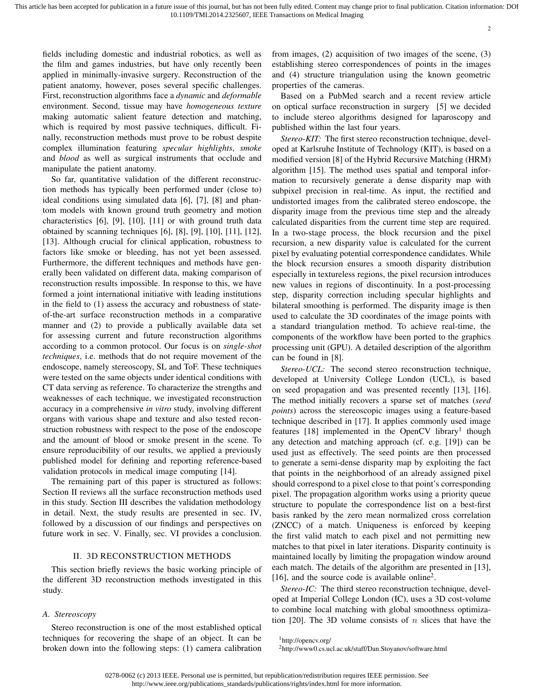fields including domestic and industrial robotics, as well as the film and games industries, but have only recently been applied in minimally-invasive surgery. Reconstruction of the patient anatomy, however, poses several specific challenges. First, reconstruction algorithms face a *dynamic* and *deformable* environment. Second, tissue may have *homogeneous texture* making automatic salient feature detection and matching, which is required by most passive techniques, difficult. Finally, reconstruction methods must prove to be robust despite complex illumination featuring *specular highlights*, *smoke* and *blood* as well as surgical instruments that occlude and manipulate the patient anatomy.

So far, quantitative validation of the different reconstruction methods has typically been performed under (close to) ideal conditions using simulated data [6], [7], [8] and phantom models with known ground truth geometry and motion characteristics [6], [9], [10], [11] or with ground truth data obtained by scanning techniques [6], [8], [9], [10], [11], [12], [13]. Although crucial for clinical application, robustness to factors like smoke or bleeding, has not yet been assessed. Furthermore, the different techniques and methods have generally been validated on different data, making comparison of reconstruction results impossible. In response to this, we have formed a joint international initiative with leading institutions in the field to (1) assess the accuracy and robustness of stateof-the-art surface reconstruction methods in a comparative manner and (2) to provide a publically available data set for assessing current and future reconstruction algorithms according to a common protocol. Our focus is on *single-shot techniques*, i.e. methods that do not require movement of the endoscope, namely stereoscopy, SL and ToF. These techniques were tested on the same objects under identical conditions with CT data serving as reference. To characterize the strengths and weaknesses of each technique, we investigated reconstruction accuracy in a comprehensive *in vitro* study, involving different organs with various shape and texture and also tested reconstruction robustness with respect to the pose of the endoscope and the amount of blood or smoke present in the scene. To ensure reproducibility of our results, we applied a previously published model for defining and reporting reference-based validation protocols in medical image computing [14].

The remaining part of this paper is structured as follows: Section II reviews all the surface reconstruction methods used in this study. Section III describes the validation methodology in detail. Next, the study results are presented in sec. IV, followed by a discussion of our findings and perspectives on future work in sec. V. Finally, sec. VI provides a conclusion.

## II. 3D RECONSTRUCTION METHODS

This section briefly reviews the basic working principle of the different 3D reconstruction methods investigated in this study.

## *A. Stereoscopy*

Stereo reconstruction is one of the most established optical techniques for recovering the shape of an object. It can be broken down into the following steps: (1) camera calibration from images, (2) acquisition of two images of the scene, (3) establishing stereo correspondences of points in the images and (4) structure triangulation using the known geometric properties of the cameras.

Based on a PubMed search and a recent review article on optical surface reconstruction in surgery [5] we decided to include stereo algorithms designed for laparoscopy and published within the last four years.

*Stereo-KIT:* The first stereo reconstruction technique, developed at Karlsruhe Institute of Technology (KIT), is based on a modified version [8] of the Hybrid Recursive Matching (HRM) algorithm [15]. The method uses spatial and temporal information to recursively generate a dense disparity map with subpixel precision in real-time. As input, the rectified and undistorted images from the calibrated stereo endoscope, the disparity image from the previous time step and the already calculated disparities from the current time step are required. In a two-stage process, the block recursion and the pixel recursion, a new disparity value is calculated for the current pixel by evaluating potential correspondence candidates. While the block recursion ensures a smooth disparity distribution especially in textureless regions, the pixel recursion introduces new values in regions of discontinuity. In a post-processing step, disparity correction including specular highlights and bilateral smoothing is performed. The disparity image is then used to calculate the 3D coordinates of the image points with a standard triangulation method. To achieve real-time, the components of the workflow have been ported to the graphics processing unit (GPU). A detailed description of the algorithm can be found in [8].

*Stereo-UCL:* The second stereo reconstruction technique, developed at University College London (UCL), is based on seed propagation and was presented recently [13], [16]. The method initially recovers a sparse set of matches (*seed points*) across the stereoscopic images using a feature-based technique described in [17]. It applies commonly used image features [18] implemented in the OpenCV library<sup>1</sup> though any detection and matching approach (cf. e.g. [19]) can be used just as effectively. The seed points are then processed to generate a semi-dense disparity map by exploiting the fact that points in the neighborhood of an already assigned pixel should correspond to a pixel close to that point's corresponding pixel. The propagation algorithm works using a priority queue structure to populate the correspondence list on a best-first basis ranked by the zero mean normalized cross correlation (ZNCC) of a match. Uniqueness is enforced by keeping the first valid match to each pixel and not permitting new matches to that pixel in later iterations. Disparity continuity is maintained locally by limiting the propagation window around each match. The details of the algorithm are presented in [13], [16], and the source code is available online<sup>2</sup>.

*Stereo-IC:* The third stereo reconstruction technique, developed at Imperial College London (IC), uses a 3D cost-volume to combine local matching with global smoothness optimization [20]. The 3D volume consists of  $n$  slices that have the

<sup>1</sup>http://opencv.org/ <sup>2</sup>http://www0.cs.ucl.ac.uk/staff/Dan.Stoyanov/software.html

<sup>0278-0062 (</sup>c) 2013 IEEE. Personal use is permitted, but republication/redistribution requires IEEE permission. See http://www.ieee.org/publications\_standards/publications/rights/index.html for more information.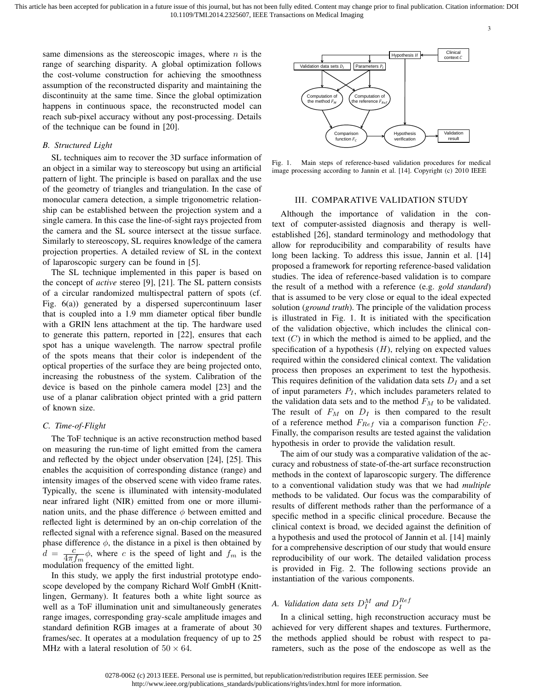same dimensions as the stereoscopic images, where  $n$  is the range of searching disparity. A global optimization follows the cost-volume construction for achieving the smoothness assumption of the reconstructed disparity and maintaining the discontinuity at the same time. Since the global optimization happens in continuous space, the reconstructed model can reach sub-pixel accuracy without any post-processing. Details of the technique can be found in [20].

## *B. Structured Light*

SL techniques aim to recover the 3D surface information of an object in a similar way to stereoscopy but using an artificial pattern of light. The principle is based on parallax and the use of the geometry of triangles and triangulation. In the case of monocular camera detection, a simple trigonometric relationship can be established between the projection system and a single camera. In this case the line-of-sight rays projected from the camera and the SL source intersect at the tissue surface. Similarly to stereoscopy, SL requires knowledge of the camera projection properties. A detailed review of SL in the context of laparoscopic surgery can be found in [5].

The SL technique implemented in this paper is based on the concept of *active* stereo [9], [21]. The SL pattern consists of a circular randomized multispectral pattern of spots (cf. Fig. 6(a)) generated by a dispersed supercontinuum laser that is coupled into a 1.9 mm diameter optical fiber bundle with a GRIN lens attachment at the tip. The hardware used to generate this pattern, reported in [22], ensures that each spot has a unique wavelength. The narrow spectral profile of the spots means that their color is independent of the optical properties of the surface they are being projected onto, increasing the robustness of the system. Calibration of the device is based on the pinhole camera model [23] and the use of a planar calibration object printed with a grid pattern of known size.

## *C. Time-of-Flight*

The ToF technique is an active reconstruction method based on measuring the run-time of light emitted from the camera and reflected by the object under observation [24], [25]. This enables the acquisition of corresponding distance (range) and intensity images of the observed scene with video frame rates. Typically, the scene is illuminated with intensity-modulated near infrared light (NIR) emitted from one or more illumination units, and the phase difference  $\phi$  between emitted and reflected light is determined by an on-chip correlation of the reflected signal with a reference signal. Based on the measured phase difference  $\phi$ , the distance in a pixel is then obtained by  $d = \frac{c}{4\pi}$  $\frac{c}{4\pi f_m} \phi$ , where c is the speed of light and  $f_m$  is the modulation frequency of the emitted light.

In this study, we apply the first industrial prototype endoscope developed by the company Richard Wolf GmbH (Knittlingen, Germany). It features both a white light source as well as a ToF illumination unit and simultaneously generates range images, corresponding gray-scale amplitude images and standard definition RGB images at a framerate of about 30 frames/sec. It operates at a modulation frequency of up to 25 MHz with a lateral resolution of  $50 \times 64$ .



Fig. 1. Main steps of reference-based validation procedures for medical image processing according to Jannin et al. [14]. Copyright (c) 2010 IEEE

## III. COMPARATIVE VALIDATION STUDY

Although the importance of validation in the context of computer-assisted diagnosis and therapy is wellestablished [26], standard terminology and methodology that allow for reproducibility and comparability of results have long been lacking. To address this issue, Jannin et al. [14] proposed a framework for reporting reference-based validation studies. The idea of reference-based validation is to compare the result of a method with a reference (e.g. *gold standard*) that is assumed to be very close or equal to the ideal expected solution (*ground truth*). The principle of the validation process is illustrated in Fig. 1. It is initiated with the specification of the validation objective, which includes the clinical context  $(C)$  in which the method is aimed to be applied, and the specification of a hypothesis  $(H)$ , relying on expected values required within the considered clinical context. The validation process then proposes an experiment to test the hypothesis. This requires definition of the validation data sets  $D<sub>I</sub>$  and a set of input parameters  $P_I$ , which includes parameters related to the validation data sets and to the method  $F_M$  to be validated. The result of  $F_M$  on  $D_I$  is then compared to the result of a reference method  $F_{Ref}$  via a comparison function  $F_C$ . Finally, the comparison results are tested against the validation hypothesis in order to provide the validation result.

The aim of our study was a comparative validation of the accuracy and robustness of state-of-the-art surface reconstruction methods in the context of laparoscopic surgery. The difference to a conventional validation study was that we had *multiple* methods to be validated. Our focus was the comparability of results of different methods rather than the performance of a specific method in a specific clinical procedure. Because the clinical context is broad, we decided against the definition of a hypothesis and used the protocol of Jannin et al. [14] mainly for a comprehensive description of our study that would ensure reproducibility of our work. The detailed validation process is provided in Fig. 2. The following sections provide an instantiation of the various components.

# A. *Validation data sets*  $D_I^M$  and  $D_I^{Ref}$

In a clinical setting, high reconstruction accuracy must be achieved for very different shapes and textures. Furthermore, the methods applied should be robust with respect to parameters, such as the pose of the endoscope as well as the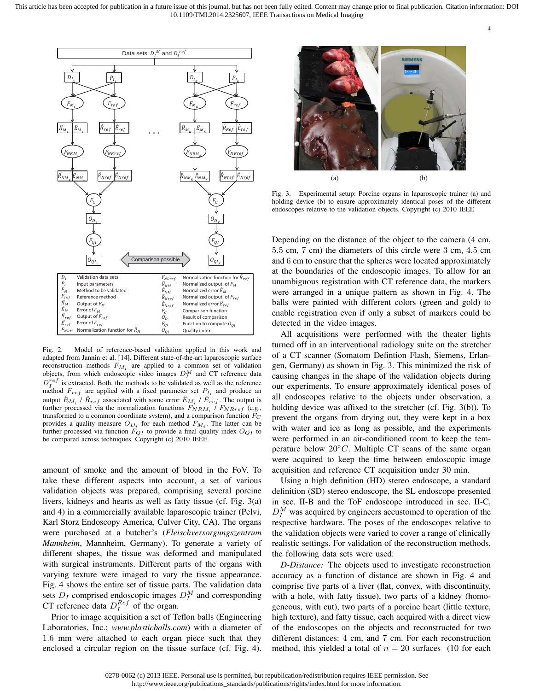

Fig. 2. Model of reference-based validation applied in this work and adapted from Jannin et al. [14]. Different state-of-the-art laparoscopic surface reconstruction methods  $F_{M_i}$  are applied to a common set of validation objects, from which endoscopic video images  $D_I^M$  and CT reference data  $D_{I}^{ref}$  is extracted. Both, the methods to be validated as well as the reference method  $F_{ref}$  are applied with a fixed parameter set  $P_{I_i}$  and produce an output  $\hat{R}_{M_i}$  /  $\hat{R}_{ref}$  associated with some error  $\hat{E}_{M_i}$  /  $\hat{E}_{ref}$ . The output is further processed via the normalization functions  $F_{NRM_i}$  /  $F_{NRref}$  (e.g., transformed to a common coordinate system), and a comparison function  ${\cal F}_C$ provides a quality measure  $O_{D_i}$  for each method  $F_{M_i}$ . The latter can be further processed via function  $F_{QI}$  to provide a final quality index  $O_{QI}$  to be compared across techniques. Copyright (c) 2010 IEEE

amount of smoke and the amount of blood in the FoV. To take these different aspects into account, a set of various validation objects was prepared, comprising several porcine livers, kidneys and hearts as well as fatty tissue (cf. Fig. 3(a) and 4) in a commercially available laparoscopic trainer (Pelvi, Karl Storz Endoscopy America, Culver City, CA). The organs were purchased at a butcher's (*Fleischversorgungszentrum Mannheim*, Mannheim, Germany). To generate a variety of different shapes, the tissue was deformed and manipulated with surgical instruments. Different parts of the organs with varying texture were imaged to vary the tissue appearance. Fig. 4 shows the entire set of tissue parts. The validation data sets  $D_I$  comprised endoscopic images  $D_I^M$  and corresponding CT reference data  $D_I^{Ref}$  of the organ.

Prior to image acquisition a set of Teflon balls (Engineering Laboratories, Inc.; *www.plasticballs.com*) with a diameter of 1.6 mm were attached to each organ piece such that they enclosed a circular region on the tissue surface (cf. Fig. 4).



4

Fig. 3. Experimental setup: Porcine organs in laparoscopic trainer (a) and holding device (b) to ensure approximately identical poses of the different endoscopes relative to the validation objects. Copyright (c) 2010 IEEE

Depending on the distance of the object to the camera (4 cm, 5.5 cm, 7 cm) the diameters of this circle were 3 cm, 4.5 cm and 6 cm to ensure that the spheres were located approximately at the boundaries of the endoscopic images. To allow for an unambiguous registration with CT reference data, the markers were arranged in a unique pattern as shown in Fig. 4. The balls were painted with different colors (green and gold) to enable registration even if only a subset of markers could be detected in the video images.

All acquisitions were performed with the theater lights turned off in an interventional radiology suite on the stretcher of a CT scanner (Somatom Defintion Flash, Siemens, Erlangen, Germany) as shown in Fig. 3. This minimized the risk of causing changes in the shape of the validation objects during our experiments. To ensure approximately identical poses of all endoscopes relative to the objects under observation, a holding device was affixed to the stretcher (cf. Fig. 3(b)). To prevent the organs from drying out, they were kept in a box with water and ice as long as possible, and the experiments were performed in an air-conditioned room to keep the temperature below  $20^{\circ}$ C. Multiple CT scans of the same organ were acquired to keep the time between endoscopic image acquisition and reference CT acquisition under 30 min.

Using a high definition (HD) stereo endoscope, a standard definition (SD) stereo endoscope, the SL endoscope presented in sec. II-B and the ToF endoscope introduced in sec. II-C,  $D_I^M$  was acquired by engineers accustomed to operation of the respective hardware. The poses of the endoscopes relative to the validation objects were varied to cover a range of clinically realistic settings. For validation of the reconstruction methods, the following data sets were used:

*D-Distance:* The objects used to investigate reconstruction accuracy as a function of distance are shown in Fig. 4 and comprise five parts of a liver (flat, convex, with discontinuity, with a hole, with fatty tissue), two parts of a kidney (homogeneous, with cut), two parts of a porcine heart (little texture, high texture), and fatty tissue, each acquired with a direct view of the endoscopes on the objects and reconstructed for two different distances: 4 cm, and 7 cm. For each reconstruction method, this yielded a total of  $n = 20$  surfaces (10 for each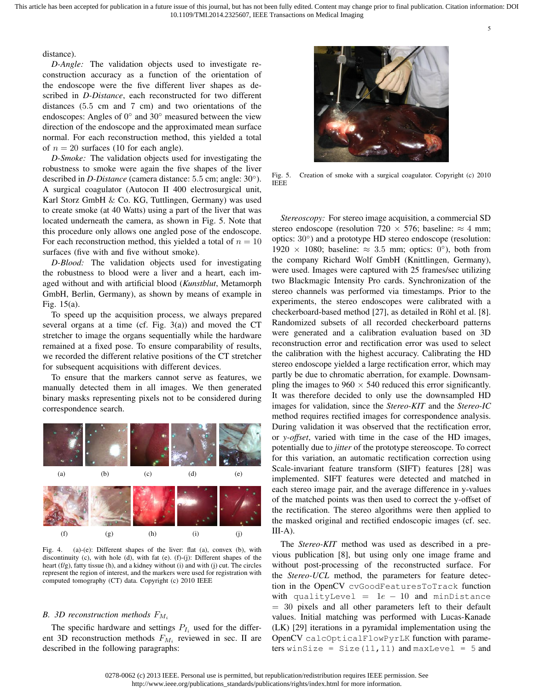distance).

*D-Angle:* The validation objects used to investigate reconstruction accuracy as a function of the orientation of the endoscope were the five different liver shapes as described in *D-Distance*, each reconstructed for two different distances (5.5 cm and 7 cm) and two orientations of the endoscopes: Angles of 0° and 30° measured between the view direction of the endoscope and the approximated mean surface normal. For each reconstruction method, this yielded a total of  $n = 20$  surfaces (10 for each angle).

*D-Smoke:* The validation objects used for investigating the robustness to smoke were again the five shapes of the liver described in *D-Distance* (camera distance: 5.5 cm; angle: 30◦ ). A surgical coagulator (Autocon II 400 electrosurgical unit, Karl Storz GmbH & Co. KG, Tuttlingen, Germany) was used to create smoke (at 40 Watts) using a part of the liver that was located underneath the camera, as shown in Fig. 5. Note that this procedure only allows one angled pose of the endoscope. For each reconstruction method, this yielded a total of  $n = 10$ surfaces (five with and five without smoke).

*D-Blood:* The validation objects used for investigating the robustness to blood were a liver and a heart, each imaged without and with artificial blood (*Kunstblut*, Metamorph GmbH, Berlin, Germany), as shown by means of example in Fig. 15(a).

To speed up the acquisition process, we always prepared several organs at a time (cf. Fig. 3(a)) and moved the CT stretcher to image the organs sequentially while the hardware remained at a fixed pose. To ensure comparability of results, we recorded the different relative positions of the CT stretcher for subsequent acquisitions with different devices.

To ensure that the markers cannot serve as features, we manually detected them in all images. We then generated binary masks representing pixels not to be considered during correspondence search.



Fig. 4. (a)-(e): Different shapes of the liver: flat (a), convex (b), with discontinuity (c), with hole (d), with fat (e). (f)-(j): Different shapes of the heart (f/g), fatty tissue (h), and a kidney without (i) and with (j) cut. The circles represent the region of interest, and the markers were used for registration with computed tomography (CT) data. Copyright (c) 2010 IEEE

## *B.* 3D reconstruction methods  $F_{M_i}$

The specific hardware and settings  $P_{I_i}$  used for the different 3D reconstruction methods  $F_{M_i}$  reviewed in sec. II are described in the following paragraphs:



Fig. 5. Creation of smoke with a surgical coagulator. Copyright (c) 2010 IEEE

*Stereoscopy:* For stereo image acquisition, a commercial SD stereo endoscope (resolution 720  $\times$  576; baseline:  $\approx$  4 mm; optics: 30◦ ) and a prototype HD stereo endoscope (resolution: 1920 × 1080; baseline:  $\approx 3.5$  mm; optics: 0°), both from the company Richard Wolf GmbH (Knittlingen, Germany), were used. Images were captured with 25 frames/sec utilizing two Blackmagic Intensity Pro cards. Synchronization of the stereo channels was performed via timestamps. Prior to the experiments, the stereo endoscopes were calibrated with a checkerboard-based method [27], as detailed in Röhl et al. [8]. Randomized subsets of all recorded checkerboard patterns were generated and a calibration evaluation based on 3D reconstruction error and rectification error was used to select the calibration with the highest accuracy. Calibrating the HD stereo endoscope yielded a large rectification error, which may partly be due to chromatic aberration, for example. Downsampling the images to  $960 \times 540$  reduced this error significantly. It was therefore decided to only use the downsampled HD images for validation, since the *Stereo-KIT* and the *Stereo-IC* method requires rectified images for correspondence analysis. During validation it was observed that the rectification error, or *y-offset*, varied with time in the case of the HD images, potentially due to *jitter* of the prototype stereoscope. To correct for this variation, an automatic rectification correction using Scale-invariant feature transform (SIFT) features [28] was implemented. SIFT features were detected and matched in each stereo image pair, and the average difference in y-values of the matched points was then used to correct the y-offset of the rectification. The stereo algorithms were then applied to the masked original and rectified endoscopic images (cf. sec.  $III-A$ ).

The *Stereo-KIT* method was used as described in a previous publication [8], but using only one image frame and without post-processing of the reconstructed surface. For the *Stereo-UCL* method, the parameters for feature detection in the OpenCV cvGoodFeaturesToTrack function with qualityLevel =  $1e - 10$  and minDistance = 30 pixels and all other parameters left to their default values. Initial matching was performed with Lucas-Kanade (LK) [29] iterations in a pyramidal implementation using the OpenCV calcOpticalFlowPyrLK function with parameters winSize = Size $(11, 11)$  and maxLevel = 5 and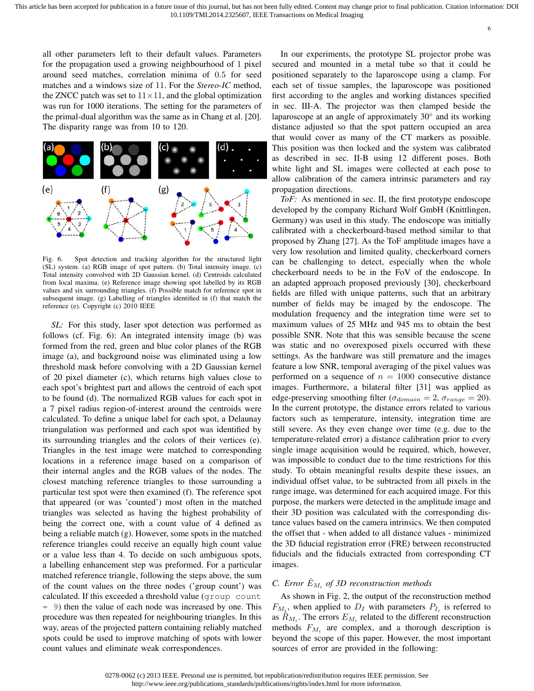all other parameters left to their default values. Parameters for the propagation used a growing neighbourhood of 1 pixel around seed matches, correlation minima of 0.5 for seed matches and a windows size of 11. For the *Stereo-IC* method, the ZNCC patch was set to  $11 \times 11$ , and the global optimization was run for 1000 iterations. The setting for the parameters of the primal-dual algorithm was the same as in Chang et al. [20]. The disparity range was from 10 to 120.



Fig. 6. Spot detection and tracking algorithm for the structured light (SL) system. (a) RGB image of spot pattern. (b) Total intensity image. (c) Total intensity convolved with 2D Gaussian kernel. (d) Centroids calculated from local maxima. (e) Reference image showing spot labelled by its RGB values and six surrounding triangles. (f) Possible match for reference spot in subsequent image. (g) Labelling of triangles identified in (f) that match the reference (e). Copyright (c) 2010 IEEE

*SL:* For this study, laser spot detection was performed as follows (cf. Fig. 6): An integrated intensity image (b) was formed from the red, green and blue color planes of the RGB image (a), and background noise was eliminated using a low threshold mask before convolving with a 2D Gaussian kernel of 20 pixel diameter (c), which returns high values close to each spot's brightest part and allows the centroid of each spot to be found (d). The normalized RGB values for each spot in a 7 pixel radius region-of-interest around the centroids were calculated. To define a unique label for each spot, a Delaunay triangulation was performed and each spot was identified by its surrounding triangles and the colors of their vertices (e). Triangles in the test image were matched to corresponding locations in a reference image based on a comparison of their internal angles and the RGB values of the nodes. The closest matching reference triangles to those surrounding a particular test spot were then examined (f). The reference spot that appeared (or was 'counted') most often in the matched triangles was selected as having the highest probability of being the correct one, with a count value of 4 defined as being a reliable match (g). However, some spots in the matched reference triangles could receive an equally high count value or a value less than 4. To decide on such ambiguous spots, a labelling enhancement step was preformed. For a particular matched reference triangle, following the steps above, the sum of the count values on the three nodes ('group count') was calculated. If this exceeded a threshold value (group count = 9) then the value of each node was increased by one. This procedure was then repeated for neighbouring triangles. In this way, areas of the projected pattern containing reliably matched spots could be used to improve matching of spots with lower count values and eliminate weak correspondences.

In our experiments, the prototype SL projector probe was secured and mounted in a metal tube so that it could be positioned separately to the laparoscope using a clamp. For each set of tissue samples, the laparoscope was positioned first according to the angles and working distances specified in sec. III-A. The projector was then clamped beside the laparoscope at an angle of approximately 30° and its working distance adjusted so that the spot pattern occupied an area that would cover as many of the CT markers as possible. This position was then locked and the system was calibrated as described in sec. II-B using 12 different poses. Both white light and SL images were collected at each pose to allow calibration of the camera intrinsic parameters and ray propagation directions.

*ToF:* As mentioned in sec. II, the first prototype endoscope developed by the company Richard Wolf GmbH (Knittlingen, Germany) was used in this study. The endoscope was initially calibrated with a checkerboard-based method similar to that proposed by Zhang [27]. As the ToF amplitude images have a very low resolution and limited quality, checkerboard corners can be challenging to detect, especially when the whole checkerboard needs to be in the FoV of the endoscope. In an adapted approach proposed previously [30], checkerboard fields are filled with unique patterns, such that an arbitrary number of fields may be imaged by the endoscope. The modulation frequency and the integration time were set to maximum values of 25 MHz and 945 ms to obtain the best possible SNR. Note that this was sensible because the scene was static and no overexposed pixels occurred with these settings. As the hardware was still premature and the images feature a low SNR, temporal averaging of the pixel values was performed on a sequence of  $n = 1000$  consecutive distance images. Furthermore, a bilateral filter [31] was applied as edge-preserving smoothing filter ( $\sigma_{domain} = 2$ ,  $\sigma_{range} = 20$ ). In the current prototype, the distance errors related to various factors such as temperature, intensity, integration time are still severe. As they even change over time (e.g. due to the temperature-related error) a distance calibration prior to every single image acquisition would be required, which, however, was impossible to conduct due to the time restrictions for this study. To obtain meaningful results despite these issues, an individual offset value, to be subtracted from all pixels in the range image, was determined for each acquired image. For this purpose, the markers were detected in the amplitude image and their 3D position was calculated with the corresponding distance values based on the camera intrinsics. We then computed the offset that - when added to all distance values - minimized the 3D fiducial registration error (FRE) between reconstructed fiducials and the fiducials extracted from corresponding CT images.

## *C.* Error  $\hat{E}_{M_i}$  of 3D reconstruction methods

As shown in Fig. 2, the output of the reconstruction method  $F_{M_i}$ , when applied to  $D_I$  with parameters  $P_{I_i}$  is referred to as  $\hat{R}_{M_i}$ . The errors  $E_{M_i}$  related to the different reconstruction methods  $F_{M_i}$  are complex, and a thorough description is beyond the scope of this paper. However, the most important sources of error are provided in the following: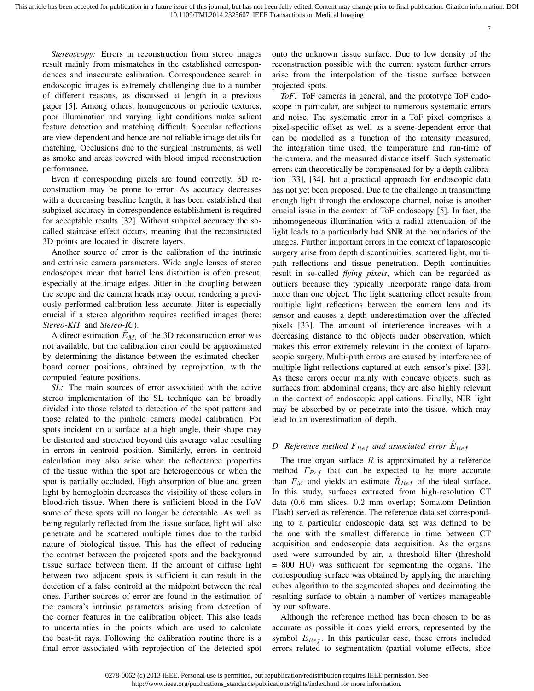7

*Stereoscopy:* Errors in reconstruction from stereo images result mainly from mismatches in the established correspondences and inaccurate calibration. Correspondence search in endoscopic images is extremely challenging due to a number of different reasons, as discussed at length in a previous paper [5]. Among others, homogeneous or periodic textures, poor illumination and varying light conditions make salient feature detection and matching difficult. Specular reflections are view dependent and hence are not reliable image details for matching. Occlusions due to the surgical instruments, as well as smoke and areas covered with blood imped reconstruction performance.

Even if corresponding pixels are found correctly, 3D reconstruction may be prone to error. As accuracy decreases with a decreasing baseline length, it has been established that subpixel accuracy in correspondence establishment is required for acceptable results [32]. Without subpixel accuracy the socalled staircase effect occurs, meaning that the reconstructed 3D points are located in discrete layers.

Another source of error is the calibration of the intrinsic and extrinsic camera parameters. Wide angle lenses of stereo endoscopes mean that barrel lens distortion is often present, especially at the image edges. Jitter in the coupling between the scope and the camera heads may occur, rendering a previously performed calibration less accurate. Jitter is especially crucial if a stereo algorithm requires rectified images (here: *Stereo-KIT* and *Stereo-IC*).

A direct estimation  $\hat{E}_{M_i}$  of the 3D reconstruction error was not available, but the calibration error could be approximated by determining the distance between the estimated checkerboard corner positions, obtained by reprojection, with the computed feature positions.

*SL:* The main sources of error associated with the active stereo implementation of the SL technique can be broadly divided into those related to detection of the spot pattern and those related to the pinhole camera model calibration. For spots incident on a surface at a high angle, their shape may be distorted and stretched beyond this average value resulting in errors in centroid position. Similarly, errors in centroid calculation may also arise when the reflectance properties of the tissue within the spot are heterogeneous or when the spot is partially occluded. High absorption of blue and green light by hemoglobin decreases the visibility of these colors in blood-rich tissue. When there is sufficient blood in the FoV some of these spots will no longer be detectable. As well as being regularly reflected from the tissue surface, light will also penetrate and be scattered multiple times due to the turbid nature of biological tissue. This has the effect of reducing the contrast between the projected spots and the background tissue surface between them. If the amount of diffuse light between two adjacent spots is sufficient it can result in the detection of a false centroid at the midpoint between the real ones. Further sources of error are found in the estimation of the camera's intrinsic parameters arising from detection of the corner features in the calibration object. This also leads to uncertainties in the points which are used to calculate the best-fit rays. Following the calibration routine there is a final error associated with reprojection of the detected spot onto the unknown tissue surface. Due to low density of the reconstruction possible with the current system further errors arise from the interpolation of the tissue surface between projected spots.

*ToF:* ToF cameras in general, and the prototype ToF endoscope in particular, are subject to numerous systematic errors and noise. The systematic error in a ToF pixel comprises a pixel-specific offset as well as a scene-dependent error that can be modelled as a function of the intensity measured, the integration time used, the temperature and run-time of the camera, and the measured distance itself. Such systematic errors can theoretically be compensated for by a depth calibration [33], [34], but a practical approach for endoscopic data has not yet been proposed. Due to the challenge in transmitting enough light through the endoscope channel, noise is another crucial issue in the context of ToF endoscopy [5]. In fact, the inhomogeneous illumination with a radial attenuation of the light leads to a particularly bad SNR at the boundaries of the images. Further important errors in the context of laparoscopic surgery arise from depth discontinuities, scattered light, multipath reflections and tissue penetration. Depth continuities result in so-called *flying pixels*, which can be regarded as outliers because they typically incorporate range data from more than one object. The light scattering effect results from multiple light reflections between the camera lens and its sensor and causes a depth underestimation over the affected pixels [33]. The amount of interference increases with a decreasing distance to the objects under observation, which makes this error extremely relevant in the context of laparoscopic surgery. Multi-path errors are caused by interference of multiple light reflections captured at each sensor's pixel [33]. As these errors occur mainly with concave objects, such as surfaces from abdominal organs, they are also highly relevant in the context of endoscopic applications. Finally, NIR light may be absorbed by or penetrate into the tissue, which may lead to an overestimation of depth.

## *D. Reference method*  $F_{Ref}$  *and associated error*  $\hat{E}_{Ref}$

The true organ surface  $R$  is approximated by a reference method  $F_{Ref}$  that can be expected to be more accurate than  $F_M$  and yields an estimate  $R_{Ref}$  of the ideal surface. In this study, surfaces extracted from high-resolution CT data (0.6 mm slices, 0.2 mm overlap; Somatom Defintion Flash) served as reference. The reference data set corresponding to a particular endoscopic data set was defined to be the one with the smallest difference in time between CT acquisition and endoscopic data acquisition. As the organs used were surrounded by air, a threshold filter (threshold = 800 HU) was sufficient for segmenting the organs. The corresponding surface was obtained by applying the marching cubes algorithm to the segmented shapes and decimating the resulting surface to obtain a number of vertices manageable by our software.

Although the reference method has been chosen to be as accurate as possible it does yield errors, represented by the symbol  $E_{Ref}$ . In this particular case, these errors included errors related to segmentation (partial volume effects, slice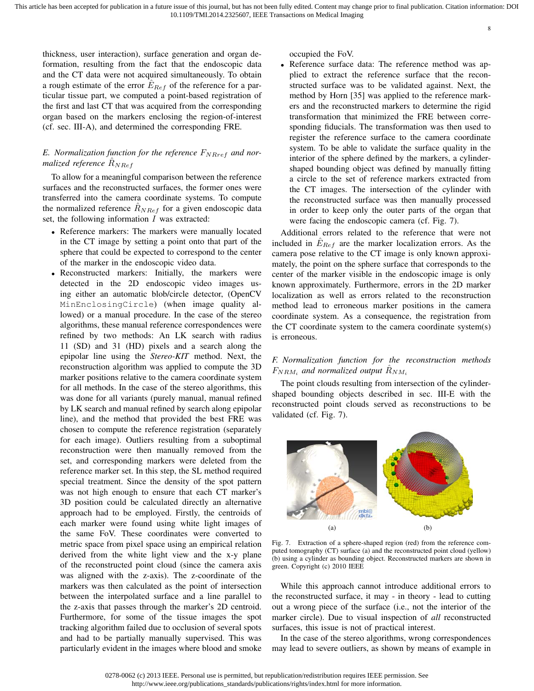thickness, user interaction), surface generation and organ deformation, resulting from the fact that the endoscopic data and the CT data were not acquired simultaneously. To obtain a rough estimate of the error  $E_{Ref}$  of the reference for a particular tissue part, we computed a point-based registration of the first and last CT that was acquired from the corresponding organ based on the markers enclosing the region-of-interest (cf. sec. III-A), and determined the corresponding FRE.

## $E$ . Normalization function for the reference  $F_{NRref}$  and nor*malized reference*  $R_{NRef}$

To allow for a meaningful comparison between the reference surfaces and the reconstructed surfaces, the former ones were transferred into the camera coordinate systems. To compute the normalized reference  $R_{NRef}$  for a given endoscopic data set, the following information  $I$  was extracted:

- Reference markers: The markers were manually located in the CT image by setting a point onto that part of the sphere that could be expected to correspond to the center of the marker in the endoscopic video data.
- Reconstructed markers: Initially, the markers were detected in the 2D endoscopic video images using either an automatic blob/circle detector, (OpenCV MinEnclosingCircle) (when image quality allowed) or a manual procedure. In the case of the stereo algorithms, these manual reference correspondences were refined by two methods: An LK search with radius 11 (SD) and 31 (HD) pixels and a search along the epipolar line using the *Stereo-KIT* method. Next, the reconstruction algorithm was applied to compute the 3D marker positions relative to the camera coordinate system for all methods. In the case of the stereo algorithms, this was done for all variants (purely manual, manual refined by LK search and manual refined by search along epipolar line), and the method that provided the best FRE was chosen to compute the reference registration (separately for each image). Outliers resulting from a suboptimal reconstruction were then manually removed from the set, and corresponding markers were deleted from the reference marker set. In this step, the SL method required special treatment. Since the density of the spot pattern was not high enough to ensure that each CT marker's 3D position could be calculated directly an alternative approach had to be employed. Firstly, the centroids of each marker were found using white light images of the same FoV. These coordinates were converted to metric space from pixel space using an empirical relation derived from the white light view and the x-y plane of the reconstructed point cloud (since the camera axis was aligned with the z-axis). The z-coordinate of the markers was then calculated as the point of intersection between the interpolated surface and a line parallel to the z-axis that passes through the marker's 2D centroid. Furthermore, for some of the tissue images the spot tracking algorithm failed due to occlusion of several spots and had to be partially manually supervised. This was particularly evident in the images where blood and smoke

occupied the FoV.

Reference surface data: The reference method was applied to extract the reference surface that the reconstructed surface was to be validated against. Next, the method by Horn [35] was applied to the reference markers and the reconstructed markers to determine the rigid transformation that minimized the FRE between corresponding fiducials. The transformation was then used to register the reference surface to the camera coordinate system. To be able to validate the surface quality in the interior of the sphere defined by the markers, a cylindershaped bounding object was defined by manually fitting a circle to the set of reference markers extracted from the CT images. The intersection of the cylinder with the reconstructed surface was then manually processed in order to keep only the outer parts of the organ that were facing the endoscopic camera (cf. Fig. 7).

8

Additional errors related to the reference that were not included in  $E_{Ref}$  are the marker localization errors. As the camera pose relative to the CT image is only known approximately, the point on the sphere surface that corresponds to the center of the marker visible in the endoscopic image is only known approximately. Furthermore, errors in the 2D marker localization as well as errors related to the reconstruction method lead to erroneous marker positions in the camera coordinate system. As a consequence, the registration from the CT coordinate system to the camera coordinate system(s) is erroneous.

## *F. Normalization function for the reconstruction methods*  $F_{NRM_i}$  and normalized output  $\hat{R}_{NM_i}$

The point clouds resulting from intersection of the cylindershaped bounding objects described in sec. III-E with the reconstructed point clouds served as reconstructions to be validated (cf. Fig. 7).



Fig. 7. Extraction of a sphere-shaped region (red) from the reference computed tomography (CT) surface (a) and the reconstructed point cloud (yellow) (b) using a cylinder as bounding object. Reconstructed markers are shown in green. Copyright (c) 2010 IEEE

While this approach cannot introduce additional errors to the reconstructed surface, it may - in theory - lead to cutting out a wrong piece of the surface (i.e., not the interior of the marker circle). Due to visual inspection of *all* reconstructed surfaces, this issue is not of practical interest.

In the case of the stereo algorithms, wrong correspondences may lead to severe outliers, as shown by means of example in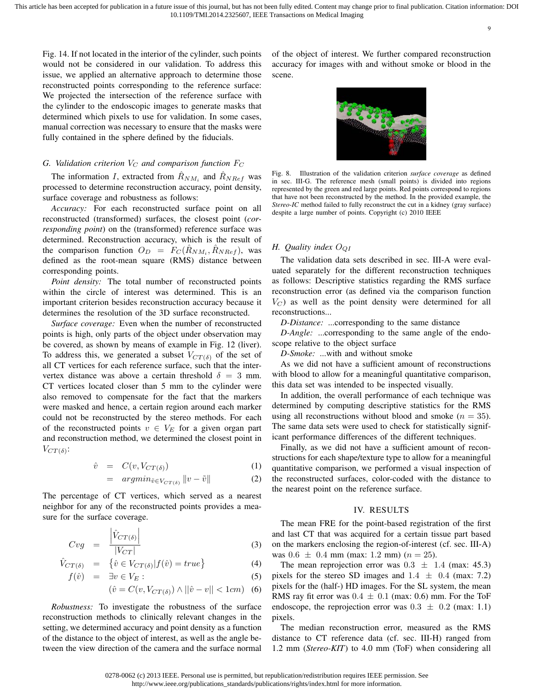9

Fig. 14. If not located in the interior of the cylinder, such points would not be considered in our validation. To address this issue, we applied an alternative approach to determine those reconstructed points corresponding to the reference surface: We projected the intersection of the reference surface with the cylinder to the endoscopic images to generate masks that determined which pixels to use for validation. In some cases, manual correction was necessary to ensure that the masks were fully contained in the sphere defined by the fiducials.

## *G. Validation criterion*  $V_C$  *and comparison function*  $F_C$

The information I, extracted from  $\hat{R}_{NM_i}$  and  $\hat{R}_{NRef}$  was processed to determine reconstruction accuracy, point density, surface coverage and robustness as follows:

*Accuracy:* For each reconstructed surface point on all reconstructed (transformed) surfaces, the closest point (*corresponding point*) on the (transformed) reference surface was determined. Reconstruction accuracy, which is the result of the comparison function  $O_D = F_C(\hat{R}_{NM_i}, \hat{R}_{NRef})$ , was defined as the root-mean square (RMS) distance between corresponding points.

*Point density:* The total number of reconstructed points within the circle of interest was determined. This is an important criterion besides reconstruction accuracy because it determines the resolution of the 3D surface reconstructed.

*Surface coverage:* Even when the number of reconstructed points is high, only parts of the object under observation may be covered, as shown by means of example in Fig. 12 (liver). To address this, we generated a subset  $V_{CT(\delta)}$  of the set of all CT vertices for each reference surface, such that the intervertex distance was above a certain threshold  $\delta = 3$  mm. CT vertices located closer than 5 mm to the cylinder were also removed to compensate for the fact that the markers were masked and hence, a certain region around each marker could not be reconstructed by the stereo methods. For each of the reconstructed points  $v \in V_E$  for a given organ part and reconstruction method, we determined the closest point in  $V_{CT(\delta)}$ :

$$
\hat{v} = C(v, V_{CT(\delta)}) \tag{1}
$$

$$
= argmin_{\tilde{v} \in V_{CT(\delta)}} ||v - \tilde{v}|| \tag{2}
$$

The percentage of CT vertices, which served as a nearest neighbor for any of the reconstructed points provides a measure for the surface coverage.

$$
Cvg = \frac{\left| \hat{V}_{CT(\delta)} \right|}{|V_{CT}|} \tag{3}
$$

$$
\hat{V}_{CT(\delta)} = \{ \hat{v} \in V_{CT(\delta)} | f(\hat{v}) = true \}
$$
\n(4)

$$
f(\hat{v}) = \exists v \in V_E:
$$
\n<sup>(5)</sup>

$$
(\hat{v} = C(v, V_{CT(\delta)}) \land ||\hat{v} - v|| < 1cm) \tag{6}
$$

*Robustness:* To investigate the robustness of the surface reconstruction methods to clinically relevant changes in the setting, we determined accuracy and point density as a function of the distance to the object of interest, as well as the angle between the view direction of the camera and the surface normal of the object of interest. We further compared reconstruction accuracy for images with and without smoke or blood in the scene.



Fig. 8. Illustration of the validation criterion *surface coverage* as defined in sec. III-G. The reference mesh (small points) is divided into regions represented by the green and red large points. Red points correspond to regions that have not been reconstructed by the method. In the provided example, the *Stereo-IC* method failed to fully reconstruct the cut in a kidney (gray surface) despite a large number of points. Copyright (c) 2010 IEEE

## *H. Quality index* OQI

The validation data sets described in sec. III-A were evaluated separately for the different reconstruction techniques as follows: Descriptive statistics regarding the RMS surface reconstruction error (as defined via the comparison function  $V_C$ ) as well as the point density were determined for all reconstructions...

*D-Distance:* ...corresponding to the same distance

*D-Angle:* ...corresponding to the same angle of the endoscope relative to the object surface

*D-Smoke:* ...with and without smoke

As we did not have a sufficient amount of reconstructions with blood to allow for a meaningful quantitative comparison, this data set was intended to be inspected visually.

In addition, the overall performance of each technique was determined by computing descriptive statistics for the RMS using all reconstructions without blood and smoke ( $n = 35$ ). The same data sets were used to check for statistically significant performance differences of the different techniques.

Finally, as we did not have a sufficient amount of reconstructions for each shape/texture type to allow for a meaningful quantitative comparison, we performed a visual inspection of the reconstructed surfaces, color-coded with the distance to the nearest point on the reference surface.

## IV. RESULTS

The mean FRE for the point-based registration of the first and last CT that was acquired for a certain tissue part based on the markers enclosing the region-of-interest (cf. sec. III-A) was  $0.6 \pm 0.4$  mm (max: 1.2 mm) ( $n = 25$ ).

The mean reprojection error was  $0.3 \pm 1.4$  (max: 45.3) pixels for the stereo SD images and  $1.4 \pm 0.4$  (max: 7.2) pixels for the (half-) HD images. For the SL system, the mean RMS ray fit error was  $0.4 \pm 0.1$  (max: 0.6) mm. For the ToF endoscope, the reprojection error was  $0.3 \pm 0.2$  (max: 1.1) pixels.

The median reconstruction error, measured as the RMS distance to CT reference data (cf. sec. III-H) ranged from 1.2 mm (*Stereo-KIT*) to 4.0 mm (ToF) when considering all

<sup>0278-0062 (</sup>c) 2013 IEEE. Personal use is permitted, but republication/redistribution requires IEEE permission. See http://www.ieee.org/publications\_standards/publications/rights/index.html for more information.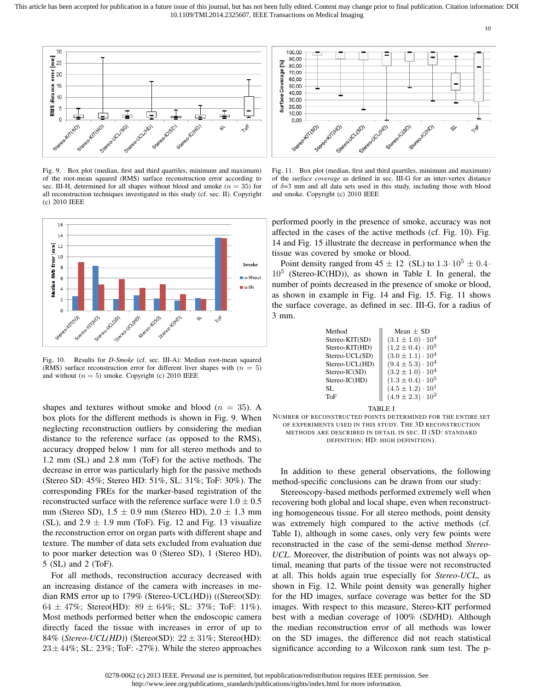

Fig. 9. Box plot (median, first and third quartiles, minimum and maximum) of the root-mean squared (RMS) surface reconstruction error according to sec. III-H, determined for all shapes without blood and smoke ( $n = 35$ ) for all reconstruction techniques investigated in this study (cf. sec. II). Copyright (c) 2010 IEEE



Fig. 10. Results for *D-Smoke* (cf. sec. III-A): Median root-mean squared (RMS) surface reconstruction error for different liver shapes with  $(n = 5)$ and without  $(n = 5)$  smoke. Copyright (c) 2010 IEEE

shapes and textures without smoke and blood ( $n = 35$ ). A box plots for the different methods is shown in Fig. 9. When neglecting reconstruction outliers by considering the median distance to the reference surface (as opposed to the RMS), accuracy dropped below 1 mm for all stereo methods and to 1.2 mm (SL) and 2.8 mm (ToF) for the active methods. The decrease in error was particularly high for the passive methods (Stereo SD: 45%; Stereo HD: 51%, SL: 31%; ToF: 30%). The corresponding FREs for the marker-based registration of the reconstructed surface with the reference surface were  $1.0 \pm 0.5$ mm (Stereo SD),  $1.5 \pm 0.9$  mm (Stereo HD),  $2.0 \pm 1.3$  mm (SL), and  $2.9 \pm 1.9$  mm (ToF). Fig. 12 and Fig. 13 visualize the reconstruction error on organ parts with different shape and texture. The number of data sets excluded from evaluation due to poor marker detection was 0 (Stereo SD), 1 (Stereo HD), 5 (SL) and 2 (ToF).

For all methods, reconstruction accuracy decreased with an increasing distance of the camera with increases in median RMS error up to 179% (Stereo-UCL(HD)) ((Stereo(SD):  $64 \pm 47\%$ ; Stereo(HD):  $89 \pm 64\%$ ; SL: 37%; ToF: 11%). Most methods performed better when the endoscopic camera directly faced the tissue with increases in error of up to 84% (*Stereo-UCL(HD)*) (Stereo(SD): 22 ± 31%; Stereo(HD):  $23 \pm 44\%$ ; SL: 23%; ToF: -27%). While the stereo approaches

Fig. 11. Box plot (median, first and third quartiles, minimum and maximum) of the *surface coverage* as defined in sec. III-G for an inter-vertex distance of  $\delta = 3$  mm and all data sets used in this study, including those with blood and smoke. Copyright (c) 2010 IEEE

performed poorly in the presence of smoke, accuracy was not affected in the cases of the active methods (cf. Fig. 10). Fig. 14 and Fig. 15 illustrate the decrease in performance when the tissue was covered by smoke or blood.

Point density ranged from  $45 \pm 12$  (SL) to  $1.3 \cdot 10^5 \pm 0.4$  $10<sup>5</sup>$  (Stereo-IC(HD)), as shown in Table I. In general, the number of points decreased in the presence of smoke or blood, as shown in example in Fig. 14 and Fig. 15. Fig. 11 shows the surface coverage, as defined in sec. III-G, for a radius of 3 mm.

| Method         | Mean $+$ SD                  |
|----------------|------------------------------|
| Stereo-KIT(SD) | $(3.1 \pm 1.0) \cdot 10^4$   |
| Stereo-KIT(HD) | $(1.2 \pm 0.4) \cdot 10^5$   |
| Stereo-UCL(SD) | $(3.0 \pm 1.1) \cdot 10^4$   |
| Stereo-UCL(HD) | $(9.4 \pm 5.3) \cdot 10^4$   |
| Stereo-IC(SD)  | $(3.2 \pm 1.0) \cdot 10^{4}$ |
| Stereo-IC(HD)  | $(1.3 \pm 0.4) \cdot 10^5$   |
| SL.            | $(4.5 \pm 1.2) \cdot 10^{1}$ |
| ToF            | $(4.9 \pm 2.3) \cdot 10^2$   |
|                |                              |

TABLE I



In addition to these general observations, the following method-specific conclusions can be drawn from our study:

Stereoscopy-based methods performed extremely well when recovering both global and local shape, even when reconstructing homogeneous tissue. For all stereo methods, point density was extremely high compared to the active methods (cf. Table I), although in some cases, only very few points were reconstructed in the case of the semi-dense method *Stereo-UCL*. Moreover, the distribution of points was not always optimal, meaning that parts of the tissue were not reconstructed at all. This holds again true especially for *Stereo-UCL*, as shown in Fig. 12. While point density was generally higher for the HD images, surface coverage was better for the SD images. With respect to this measure, Stereo-KIT performed best with a median coverage of 100% (SD/HD). Although the median reconstruction error of all methods was lower on the SD images, the difference did not reach statistical significance according to a Wilcoxon rank sum test. The p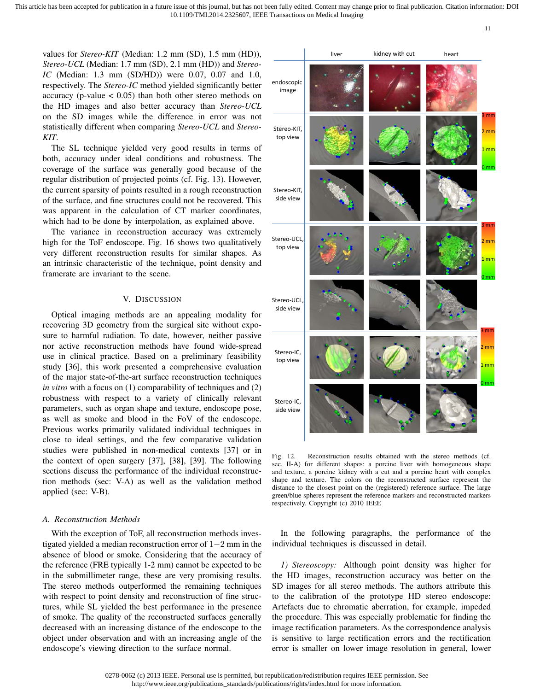values for *Stereo-KIT* (Median: 1.2 mm (SD), 1.5 mm (HD)), *Stereo-UCL* (Median: 1.7 mm (SD), 2.1 mm (HD)) and *Stereo-IC* (Median: 1.3 mm (SD/HD)) were 0.07, 0.07 and 1.0, respectively. The *Stereo-IC* method yielded significantly better accuracy (p-value  $< 0.05$ ) than both other stereo methods on the HD images and also better accuracy than *Stereo-UCL* on the SD images while the difference in error was not statistically different when comparing *Stereo-UCL* and *Stereo-KIT*.

The SL technique yielded very good results in terms of both, accuracy under ideal conditions and robustness. The coverage of the surface was generally good because of the regular distribution of projected points (cf. Fig. 13). However, the current sparsity of points resulted in a rough reconstruction of the surface, and fine structures could not be recovered. This was apparent in the calculation of CT marker coordinates, which had to be done by interpolation, as explained above.

The variance in reconstruction accuracy was extremely high for the ToF endoscope. Fig. 16 shows two qualitatively very different reconstruction results for similar shapes. As an intrinsic characteristic of the technique, point density and framerate are invariant to the scene.

## V. DISCUSSION

Optical imaging methods are an appealing modality for recovering 3D geometry from the surgical site without exposure to harmful radiation. To date, however, neither passive nor active reconstruction methods have found wide-spread use in clinical practice. Based on a preliminary feasibility study [36], this work presented a comprehensive evaluation of the major state-of-the-art surface reconstruction techniques *in vitro* with a focus on (1) comparability of techniques and (2) robustness with respect to a variety of clinically relevant parameters, such as organ shape and texture, endoscope pose, as well as smoke and blood in the FoV of the endoscope. Previous works primarily validated individual techniques in close to ideal settings, and the few comparative validation studies were published in non-medical contexts [37] or in the context of open surgery [37], [38], [39]. The following sections discuss the performance of the individual reconstruction methods (sec: V-A) as well as the validation method applied (sec: V-B).

## *A. Reconstruction Methods*

With the exception of ToF, all reconstruction methods investigated yielded a median reconstruction error of 1−2 mm in the absence of blood or smoke. Considering that the accuracy of the reference (FRE typically 1-2 mm) cannot be expected to be in the submillimeter range, these are very promising results. The stereo methods outperformed the remaining techniques with respect to point density and reconstruction of fine structures, while SL yielded the best performance in the presence of smoke. The quality of the reconstructed surfaces generally decreased with an increasing distance of the endoscope to the object under observation and with an increasing angle of the endoscope's viewing direction to the surface normal.



11

Fig. 12. Reconstruction results obtained with the stereo methods (cf. sec. II-A) for different shapes: a porcine liver with homogeneous shape and texture, a porcine kidney with a cut and a porcine heart with complex shape and texture. The colors on the reconstructed surface represent the distance to the closest point on the (registered) reference surface. The large green/blue spheres represent the reference markers and reconstructed markers respectively. Copyright (c) 2010 IEEE

In the following paragraphs, the performance of the individual techniques is discussed in detail.

*1) Stereoscopy:* Although point density was higher for the HD images, reconstruction accuracy was better on the SD images for all stereo methods. The authors attribute this to the calibration of the prototype HD stereo endoscope: Artefacts due to chromatic aberration, for example, impeded the procedure. This was especially problematic for finding the image rectification parameters. As the correspondence analysis is sensitive to large rectification errors and the rectification error is smaller on lower image resolution in general, lower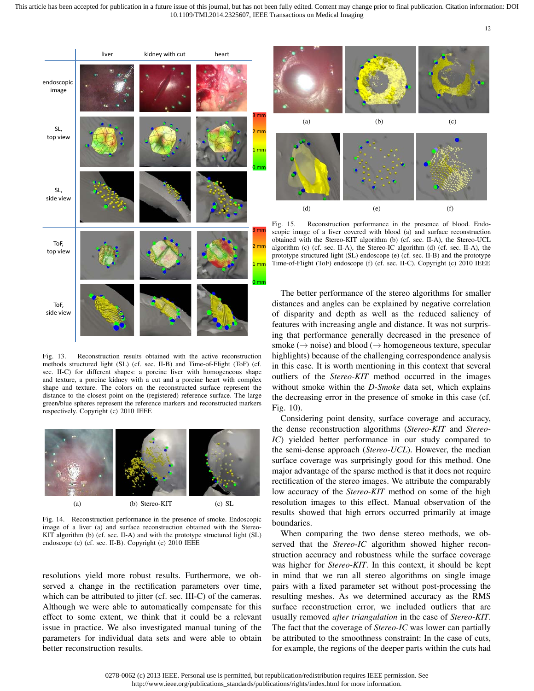

Fig. 13. Reconstruction results obtained with the active reconstruction methods structured light (SL) (cf. sec. II-B) and Time-of-Flight (ToF) (cf. sec. II-C) for different shapes: a porcine liver with homogeneous shape and texture, a porcine kidney with a cut and a porcine heart with complex shape and texture. The colors on the reconstructed surface represent the distance to the closest point on the (registered) reference surface. The large green/blue spheres represent the reference markers and reconstructed markers respectively. Copyright (c) 2010 IEEE



Fig. 14. Reconstruction performance in the presence of smoke. Endoscopic image of a liver (a) and surface reconstruction obtained with the Stereo-KIT algorithm (b) (cf. sec. II-A) and with the prototype structured light (SL) endoscope (c) (cf. sec. II-B). Copyright (c) 2010 IEEE

resolutions yield more robust results. Furthermore, we observed a change in the rectification parameters over time, which can be attributed to jitter (cf. sec. III-C) of the cameras. Although we were able to automatically compensate for this effect to some extent, we think that it could be a relevant issue in practice. We also investigated manual tuning of the parameters for individual data sets and were able to obtain better reconstruction results.



Fig. 15. Reconstruction performance in the presence of blood. Endoscopic image of a liver covered with blood (a) and surface reconstruction obtained with the Stereo-KIT algorithm (b) (cf. sec. II-A), the Stereo-UCL algorithm (c) (cf. sec. II-A), the Stereo-IC algorithm (d) (cf. sec. II-A), the prototype structured light (SL) endoscope (e) (cf. sec. II-B) and the prototype Time-of-Flight (ToF) endoscope (f) (cf. sec. II-C). Copyright (c) 2010 IEEE

The better performance of the stereo algorithms for smaller distances and angles can be explained by negative correlation of disparity and depth as well as the reduced saliency of features with increasing angle and distance. It was not surprising that performance generally decreased in the presence of smoke ( $\rightarrow$  noise) and blood ( $\rightarrow$  homogeneous texture, specular highlights) because of the challenging correspondence analysis in this case. It is worth mentioning in this context that several outliers of the *Stereo-KIT* method occurred in the images without smoke within the *D-Smoke* data set, which explains the decreasing error in the presence of smoke in this case (cf. Fig. 10).

Considering point density, surface coverage and accuracy, the dense reconstruction algorithms (*Stereo-KIT* and *Stereo-IC*) yielded better performance in our study compared to the semi-dense approach (*Stereo-UCL*). However, the median surface coverage was surprisingly good for this method. One major advantage of the sparse method is that it does not require rectification of the stereo images. We attribute the comparably low accuracy of the *Stereo-KIT* method on some of the high resolution images to this effect. Manual observation of the results showed that high errors occurred primarily at image boundaries.

When comparing the two dense stereo methods, we observed that the *Stereo-IC* algorithm showed higher reconstruction accuracy and robustness while the surface coverage was higher for *Stereo-KIT*. In this context, it should be kept in mind that we ran all stereo algorithms on single image pairs with a fixed parameter set without post-processing the resulting meshes. As we determined accuracy as the RMS surface reconstruction error, we included outliers that are usually removed *after triangulation* in the case of *Stereo-KIT*. The fact that the coverage of *Stereo-IC* was lower can partially be attributed to the smoothness constraint: In the case of cuts, for example, the regions of the deeper parts within the cuts had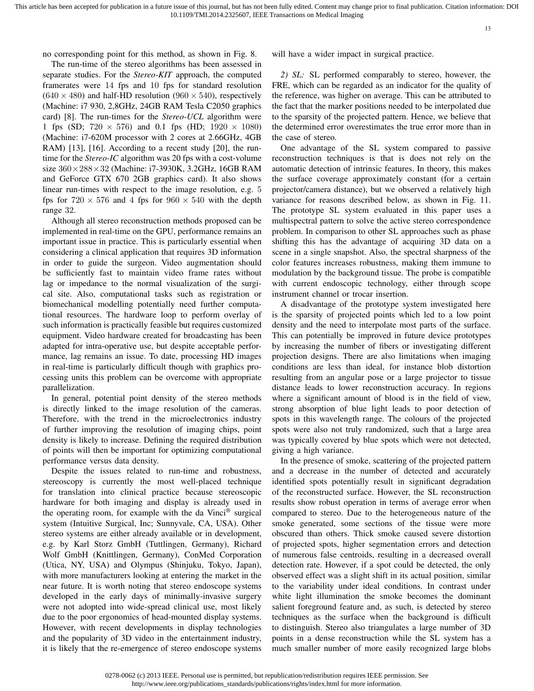no corresponding point for this method, as shown in Fig. 8.

The run-time of the stereo algorithms has been assessed in separate studies. For the *Stereo-KIT* approach, the computed framerates were 14 fps and 10 fps for standard resolution  $(640 \times 480)$  and half-HD resolution  $(960 \times 540)$ , respectively (Machine: i7 930, 2,8GHz, 24GB RAM Tesla C2050 graphics card) [8]. The run-times for the *Stereo-UCL* algorithm were 1 fps (SD;  $720 \times 576$ ) and 0.1 fps (HD;  $1920 \times 1080$ ) (Machine: i7-620M processor with 2 cores at 2.66GHz, 4GB RAM) [13], [16]. According to a recent study [20], the runtime for the *Stereo-IC* algorithm was 20 fps with a cost-volume size 360×288×32 (Machine: i7-3930K, 3.2GHz, 16GB RAM and GeForce GTX 670 2GB graphics card). It also shows linear run-times with respect to the image resolution, e.g. 5 fps for  $720 \times 576$  and 4 fps for  $960 \times 540$  with the depth range 32.

Although all stereo reconstruction methods proposed can be implemented in real-time on the GPU, performance remains an important issue in practice. This is particularly essential when considering a clinical application that requires 3D information in order to guide the surgeon. Video augmentation should be sufficiently fast to maintain video frame rates without lag or impedance to the normal visualization of the surgical site. Also, computational tasks such as registration or biomechanical modelling potentially need further computational resources. The hardware loop to perform overlay of such information is practically feasible but requires customized equipment. Video hardware created for broadcasting has been adapted for intra-operative use, but despite acceptable performance, lag remains an issue. To date, processing HD images in real-time is particularly difficult though with graphics processing units this problem can be overcome with appropriate parallelization.

In general, potential point density of the stereo methods is directly linked to the image resolution of the cameras. Therefore, with the trend in the microelectronics industry of further improving the resolution of imaging chips, point density is likely to increase. Defining the required distribution of points will then be important for optimizing computational performance versus data density.

Despite the issues related to run-time and robustness, stereoscopy is currently the most well-placed technique for translation into clinical practice because stereoscopic hardware for both imaging and display is already used in the operating room, for example with the da Vinci® surgical system (Intuitive Surgical, Inc; Sunnyvale, CA, USA). Other stereo systems are either already available or in development, e.g. by Karl Storz GmbH (Tuttlingen, Germany), Richard Wolf GmbH (Knittlingen, Germany), ConMed Corporation (Utica, NY, USA) and Olympus (Shinjuku, Tokyo, Japan), with more manufacturers looking at entering the market in the near future. It is worth noting that stereo endoscope systems developed in the early days of minimally-invasive surgery were not adopted into wide-spread clinical use, most likely due to the poor ergonomics of head-mounted display systems. However, with recent developments in display technologies and the popularity of 3D video in the entertainment industry, it is likely that the re-emergence of stereo endoscope systems will have a wider impact in surgical practice.

*2) SL:* SL performed comparably to stereo, however, the FRE, which can be regarded as an indicator for the quality of the reference, was higher on average. This can be attributed to the fact that the marker positions needed to be interpolated due to the sparsity of the projected pattern. Hence, we believe that the determined error overestimates the true error more than in the case of stereo.

One advantage of the SL system compared to passive reconstruction techniques is that is does not rely on the automatic detection of intrinsic features. In theory, this makes the surface coverage approximately constant (for a certain projector/camera distance), but we observed a relatively high variance for reasons described below, as shown in Fig. 11. The prototype SL system evaluated in this paper uses a multispectral pattern to solve the active stereo correspondence problem. In comparison to other SL approaches such as phase shifting this has the advantage of acquiring 3D data on a scene in a single snapshot. Also, the spectral sharpness of the color features increases robustness, making them immune to modulation by the background tissue. The probe is compatible with current endoscopic technology, either through scope instrument channel or trocar insertion.

A disadvantage of the prototype system investigated here is the sparsity of projected points which led to a low point density and the need to interpolate most parts of the surface. This can potentially be improved in future device prototypes by increasing the number of fibers or investigating different projection designs. There are also limitations when imaging conditions are less than ideal, for instance blob distortion resulting from an angular pose or a large projector to tissue distance leads to lower reconstruction accuracy. In regions where a significant amount of blood is in the field of view, strong absorption of blue light leads to poor detection of spots in this wavelength range. The colours of the projected spots were also not truly randomized, such that a large area was typically covered by blue spots which were not detected, giving a high variance.

In the presence of smoke, scattering of the projected pattern and a decrease in the number of detected and accurately identified spots potentially result in significant degradation of the reconstructed surface. However, the SL reconstruction results show robust operation in terms of average error when compared to stereo. Due to the heterogeneous nature of the smoke generated, some sections of the tissue were more obscured than others. Thick smoke caused severe distortion of projected spots, higher segmentation errors and detection of numerous false centroids, resulting in a decreased overall detection rate. However, if a spot could be detected, the only observed effect was a slight shift in its actual position, similar to the variability under ideal conditions. In contrast under white light illumination the smoke becomes the dominant salient foreground feature and, as such, is detected by stereo techniques as the surface when the background is difficult to distinguish. Stereo also triangulates a large number of 3D points in a dense reconstruction while the SL system has a much smaller number of more easily recognized large blobs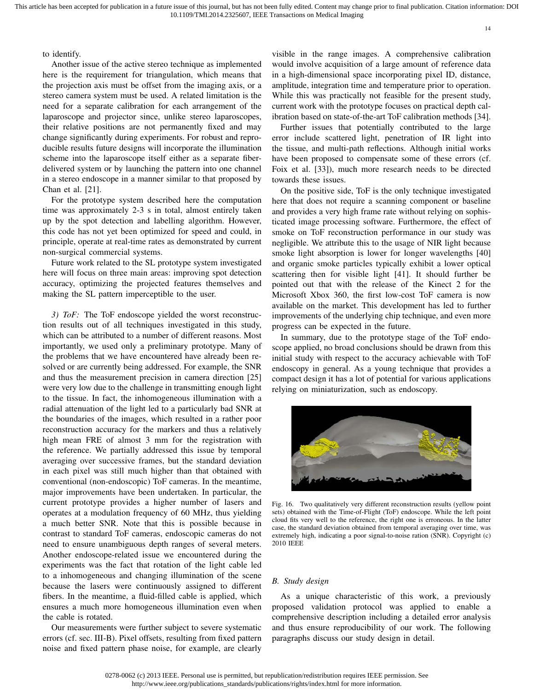to identify.

Another issue of the active stereo technique as implemented here is the requirement for triangulation, which means that the projection axis must be offset from the imaging axis, or a stereo camera system must be used. A related limitation is the need for a separate calibration for each arrangement of the laparoscope and projector since, unlike stereo laparoscopes, their relative positions are not permanently fixed and may change significantly during experiments. For robust and reproducible results future designs will incorporate the illumination scheme into the laparoscope itself either as a separate fiberdelivered system or by launching the pattern into one channel in a stereo endoscope in a manner similar to that proposed by Chan et al. [21].

For the prototype system described here the computation time was approximately 2-3 s in total, almost entirely taken up by the spot detection and labelling algorithm. However, this code has not yet been optimized for speed and could, in principle, operate at real-time rates as demonstrated by current non-surgical commercial systems.

Future work related to the SL prototype system investigated here will focus on three main areas: improving spot detection accuracy, optimizing the projected features themselves and making the SL pattern imperceptible to the user.

*3) ToF:* The ToF endoscope yielded the worst reconstruction results out of all techniques investigated in this study, which can be attributed to a number of different reasons. Most importantly, we used only a preliminary prototype. Many of the problems that we have encountered have already been resolved or are currently being addressed. For example, the SNR and thus the measurement precision in camera direction [25] were very low due to the challenge in transmitting enough light to the tissue. In fact, the inhomogeneous illumination with a radial attenuation of the light led to a particularly bad SNR at the boundaries of the images, which resulted in a rather poor reconstruction accuracy for the markers and thus a relatively high mean FRE of almost 3 mm for the registration with the reference. We partially addressed this issue by temporal averaging over successive frames, but the standard deviation in each pixel was still much higher than that obtained with conventional (non-endoscopic) ToF cameras. In the meantime, major improvements have been undertaken. In particular, the current prototype provides a higher number of lasers and operates at a modulation frequency of 60 MHz, thus yielding a much better SNR. Note that this is possible because in contrast to standard ToF cameras, endoscopic cameras do not need to ensure unambiguous depth ranges of several meters. Another endoscope-related issue we encountered during the experiments was the fact that rotation of the light cable led to a inhomogeneous and changing illumination of the scene because the lasers were continuously assigned to different fibers. In the meantime, a fluid-filled cable is applied, which ensures a much more homogeneous illumination even when the cable is rotated.

Our measurements were further subject to severe systematic errors (cf. sec. III-B). Pixel offsets, resulting from fixed pattern noise and fixed pattern phase noise, for example, are clearly

visible in the range images. A comprehensive calibration would involve acquisition of a large amount of reference data in a high-dimensional space incorporating pixel ID, distance, amplitude, integration time and temperature prior to operation. While this was practically not feasible for the present study, current work with the prototype focuses on practical depth calibration based on state-of-the-art ToF calibration methods [34].

Further issues that potentially contributed to the large error include scattered light, penetration of IR light into the tissue, and multi-path reflections. Although initial works have been proposed to compensate some of these errors (cf. Foix et al. [33]), much more research needs to be directed towards these issues.

On the positive side, ToF is the only technique investigated here that does not require a scanning component or baseline and provides a very high frame rate without relying on sophisticated image processing software. Furthermore, the effect of smoke on ToF reconstruction performance in our study was negligible. We attribute this to the usage of NIR light because smoke light absorption is lower for longer wavelengths [40] and organic smoke particles typically exhibit a lower optical scattering then for visible light [41]. It should further be pointed out that with the release of the Kinect 2 for the Microsoft Xbox 360, the first low-cost ToF camera is now available on the market. This development has led to further improvements of the underlying chip technique, and even more progress can be expected in the future.

In summary, due to the prototype stage of the ToF endoscope applied, no broad conclusions should be drawn from this initial study with respect to the accuracy achievable with ToF endoscopy in general. As a young technique that provides a compact design it has a lot of potential for various applications relying on miniaturization, such as endoscopy.



Fig. 16. Two qualitatively very different reconstruction results (yellow point sets) obtained with the Time-of-Flight (ToF) endoscope. While the left point cloud fits very well to the reference, the right one is erroneous. In the latter case, the standard deviation obtained from temporal averaging over time, was extremely high, indicating a poor signal-to-noise ration (SNR). Copyright (c) 2010 IEEE

#### *B. Study design*

As a unique characteristic of this work, a previously proposed validation protocol was applied to enable a comprehensive description including a detailed error analysis and thus ensure reproducibility of our work. The following paragraphs discuss our study design in detail.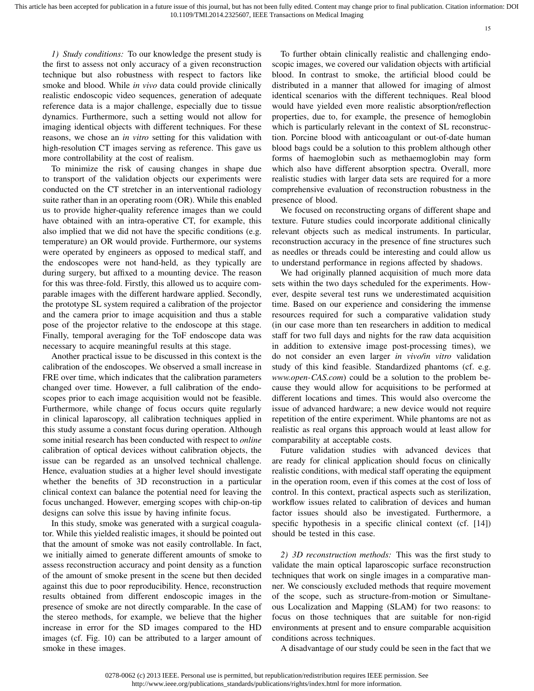*1) Study conditions:* To our knowledge the present study is the first to assess not only accuracy of a given reconstruction technique but also robustness with respect to factors like smoke and blood. While *in vivo* data could provide clinically realistic endoscopic video sequences, generation of adequate reference data is a major challenge, especially due to tissue dynamics. Furthermore, such a setting would not allow for imaging identical objects with different techniques. For these reasons, we chose an *in vitro* setting for this validation with high-resolution CT images serving as reference. This gave us more controllability at the cost of realism.

To minimize the risk of causing changes in shape due to transport of the validation objects our experiments were conducted on the CT stretcher in an interventional radiology suite rather than in an operating room (OR). While this enabled us to provide higher-quality reference images than we could have obtained with an intra-operative CT, for example, this also implied that we did not have the specific conditions (e.g. temperature) an OR would provide. Furthermore, our systems were operated by engineers as opposed to medical staff, and the endoscopes were not hand-held, as they typically are during surgery, but affixed to a mounting device. The reason for this was three-fold. Firstly, this allowed us to acquire comparable images with the different hardware applied. Secondly, the prototype SL system required a calibration of the projector and the camera prior to image acquisition and thus a stable pose of the projector relative to the endoscope at this stage. Finally, temporal averaging for the ToF endoscope data was necessary to acquire meaningful results at this stage.

Another practical issue to be discussed in this context is the calibration of the endoscopes. We observed a small increase in FRE over time, which indicates that the calibration parameters changed over time. However, a full calibration of the endoscopes prior to each image acquisition would not be feasible. Furthermore, while change of focus occurs quite regularly in clinical laparoscopy, all calibration techniques applied in this study assume a constant focus during operation. Although some initial research has been conducted with respect to *online* calibration of optical devices without calibration objects, the issue can be regarded as an unsolved technical challenge. Hence, evaluation studies at a higher level should investigate whether the benefits of 3D reconstruction in a particular clinical context can balance the potential need for leaving the focus unchanged. However, emerging scopes with chip-on-tip designs can solve this issue by having infinite focus.

In this study, smoke was generated with a surgical coagulator. While this yielded realistic images, it should be pointed out that the amount of smoke was not easily controllable. In fact, we initially aimed to generate different amounts of smoke to assess reconstruction accuracy and point density as a function of the amount of smoke present in the scene but then decided against this due to poor reproducibility. Hence, reconstruction results obtained from different endoscopic images in the presence of smoke are not directly comparable. In the case of the stereo methods, for example, we believe that the higher increase in error for the SD images compared to the HD images (cf. Fig. 10) can be attributed to a larger amount of smoke in these images.

To further obtain clinically realistic and challenging endoscopic images, we covered our validation objects with artificial blood. In contrast to smoke, the artificial blood could be distributed in a manner that allowed for imaging of almost identical scenarios with the different techniques. Real blood would have yielded even more realistic absorption/reflection properties, due to, for example, the presence of hemoglobin which is particularly relevant in the context of SL reconstruction. Porcine blood with anticoagulant or out-of-date human blood bags could be a solution to this problem although other forms of haemoglobin such as methaemoglobin may form which also have different absorption spectra. Overall, more realistic studies with larger data sets are required for a more comprehensive evaluation of reconstruction robustness in the presence of blood.

We focused on reconstructing organs of different shape and texture. Future studies could incorporate additional clinically relevant objects such as medical instruments. In particular, reconstruction accuracy in the presence of fine structures such as needles or threads could be interesting and could allow us to understand performance in regions affected by shadows.

We had originally planned acquisition of much more data sets within the two days scheduled for the experiments. However, despite several test runs we underestimated acquisition time. Based on our experience and considering the immense resources required for such a comparative validation study (in our case more than ten researchers in addition to medical staff for two full days and nights for the raw data acquisition in addition to extensive image post-processing times), we do not consider an even larger *in vivo/in vitro* validation study of this kind feasible. Standardized phantoms (cf. e.g. *www.open-CAS.com*) could be a solution to the problem because they would allow for acquisitions to be performed at different locations and times. This would also overcome the issue of advanced hardware; a new device would not require repetition of the entire experiment. While phantoms are not as realistic as real organs this approach would at least allow for comparability at acceptable costs.

Future validation studies with advanced devices that are ready for clinical application should focus on clinically realistic conditions, with medical staff operating the equipment in the operation room, even if this comes at the cost of loss of control. In this context, practical aspects such as sterilization, workflow issues related to calibration of devices and human factor issues should also be investigated. Furthermore, a specific hypothesis in a specific clinical context (cf. [14]) should be tested in this case.

*2) 3D reconstruction methods:* This was the first study to validate the main optical laparoscopic surface reconstruction techniques that work on single images in a comparative manner. We consciously excluded methods that require movement of the scope, such as structure-from-motion or Simultaneous Localization and Mapping (SLAM) for two reasons: to focus on those techniques that are suitable for non-rigid environments at present and to ensure comparable acquisition conditions across techniques.

A disadvantage of our study could be seen in the fact that we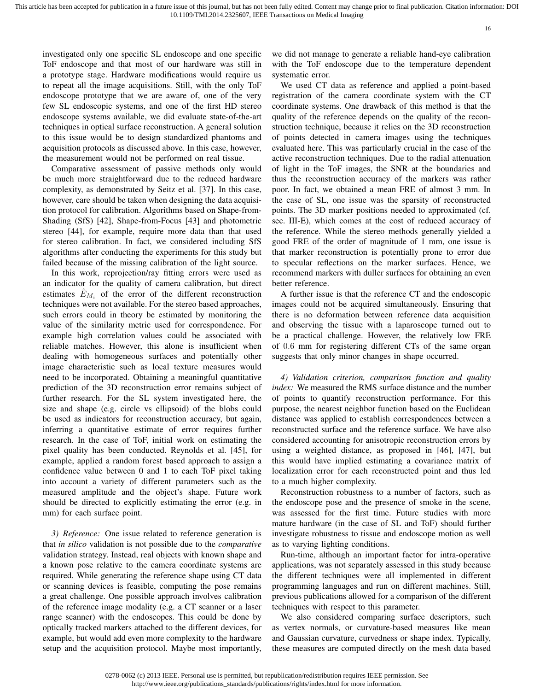investigated only one specific SL endoscope and one specific ToF endoscope and that most of our hardware was still in a prototype stage. Hardware modifications would require us to repeat all the image acquisitions. Still, with the only ToF endoscope prototype that we are aware of, one of the very few SL endoscopic systems, and one of the first HD stereo endoscope systems available, we did evaluate state-of-the-art techniques in optical surface reconstruction. A general solution to this issue would be to design standardized phantoms and acquisition protocols as discussed above. In this case, however, the measurement would not be performed on real tissue.

Comparative assessment of passive methods only would be much more straightforward due to the reduced hardware complexity, as demonstrated by Seitz et al. [37]. In this case, however, care should be taken when designing the data acquisition protocol for calibration. Algorithms based on Shape-from-Shading (SfS) [42], Shape-from-Focus [43] and photometric stereo [44], for example, require more data than that used for stereo calibration. In fact, we considered including SfS algorithms after conducting the experiments for this study but failed because of the missing calibration of the light source.

In this work, reprojection/ray fitting errors were used as an indicator for the quality of camera calibration, but direct estimates  $\hat{E}_{M_i}$  of the error of the different reconstruction techniques were not available. For the stereo based approaches, such errors could in theory be estimated by monitoring the value of the similarity metric used for correspondence. For example high correlation values could be associated with reliable matches. However, this alone is insufficient when dealing with homogeneous surfaces and potentially other image characteristic such as local texture measures would need to be incorporated. Obtaining a meaningful quantitative prediction of the 3D reconstruction error remains subject of further research. For the SL system investigated here, the size and shape (e.g. circle vs ellipsoid) of the blobs could be used as indicators for reconstruction accuracy, but again, inferring a quantitative estimate of error requires further research. In the case of ToF, initial work on estimating the pixel quality has been conducted. Reynolds et al. [45], for example, applied a random forest based approach to assign a confidence value between 0 and 1 to each ToF pixel taking into account a variety of different parameters such as the measured amplitude and the object's shape. Future work should be directed to explicitly estimating the error (e.g. in mm) for each surface point.

*3) Reference:* One issue related to reference generation is that *in silico* validation is not possible due to the *comparative* validation strategy. Instead, real objects with known shape and a known pose relative to the camera coordinate systems are required. While generating the reference shape using CT data or scanning devices is feasible, computing the pose remains a great challenge. One possible approach involves calibration of the reference image modality (e.g. a CT scanner or a laser range scanner) with the endoscopes. This could be done by optically tracked markers attached to the different devices, for example, but would add even more complexity to the hardware setup and the acquisition protocol. Maybe most importantly, we did not manage to generate a reliable hand-eye calibration with the ToF endoscope due to the temperature dependent systematic error.

We used CT data as reference and applied a point-based registration of the camera coordinate system with the CT coordinate systems. One drawback of this method is that the quality of the reference depends on the quality of the reconstruction technique, because it relies on the 3D reconstruction of points detected in camera images using the techniques evaluated here. This was particularly crucial in the case of the active reconstruction techniques. Due to the radial attenuation of light in the ToF images, the SNR at the boundaries and thus the reconstruction accuracy of the markers was rather poor. In fact, we obtained a mean FRE of almost 3 mm. In the case of SL, one issue was the sparsity of reconstructed points. The 3D marker positions needed to approximated (cf. sec. III-E), which comes at the cost of reduced accuracy of the reference. While the stereo methods generally yielded a good FRE of the order of magnitude of 1 mm, one issue is that marker reconstruction is potentially prone to error due to specular reflections on the marker surfaces. Hence, we recommend markers with duller surfaces for obtaining an even better reference.

A further issue is that the reference CT and the endoscopic images could not be acquired simultaneously. Ensuring that there is no deformation between reference data acquisition and observing the tissue with a laparoscope turned out to be a practical challenge. However, the relatively low FRE of 0.6 mm for registering different CTs of the same organ suggests that only minor changes in shape occurred.

*4) Validation criterion, comparison function and quality index:* We measured the RMS surface distance and the number of points to quantify reconstruction performance. For this purpose, the nearest neighbor function based on the Euclidean distance was applied to establish correspondences between a reconstructed surface and the reference surface. We have also considered accounting for anisotropic reconstruction errors by using a weighted distance, as proposed in [46], [47], but this would have implied estimating a covariance matrix of localization error for each reconstructed point and thus led to a much higher complexity.

Reconstruction robustness to a number of factors, such as the endoscope pose and the presence of smoke in the scene, was assessed for the first time. Future studies with more mature hardware (in the case of SL and ToF) should further investigate robustness to tissue and endoscope motion as well as to varying lighting conditions.

Run-time, although an important factor for intra-operative applications, was not separately assessed in this study because the different techniques were all implemented in different programming languages and run on different machines. Still, previous publications allowed for a comparison of the different techniques with respect to this parameter.

We also considered comparing surface descriptors, such as vertex normals, or curvature-based measures like mean and Gaussian curvature, curvedness or shape index. Typically, these measures are computed directly on the mesh data based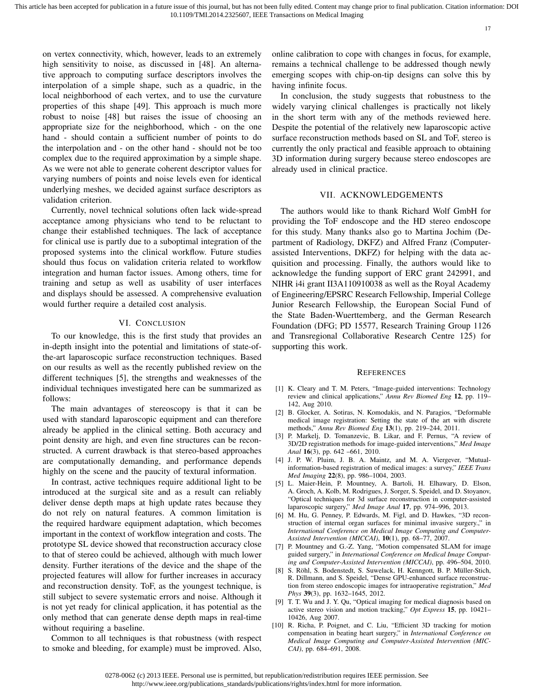on vertex connectivity, which, however, leads to an extremely high sensitivity to noise, as discussed in [48]. An alternative approach to computing surface descriptors involves the interpolation of a simple shape, such as a quadric, in the local neighborhood of each vertex, and to use the curvature properties of this shape [49]. This approach is much more robust to noise [48] but raises the issue of choosing an appropriate size for the neighborhood, which - on the one hand - should contain a sufficient number of points to do the interpolation and - on the other hand - should not be too complex due to the required approximation by a simple shape. As we were not able to generate coherent descriptor values for varying numbers of points and noise levels even for identical underlying meshes, we decided against surface descriptors as validation criterion.

Currently, novel technical solutions often lack wide-spread acceptance among physicians who tend to be reluctant to change their established techniques. The lack of acceptance for clinical use is partly due to a suboptimal integration of the proposed systems into the clinical workflow. Future studies should thus focus on validation criteria related to workflow integration and human factor issues. Among others, time for training and setup as well as usability of user interfaces and displays should be assessed. A comprehensive evaluation would further require a detailed cost analysis.

## VI. CONCLUSION

To our knowledge, this is the first study that provides an in-depth insight into the potential and limitations of state-ofthe-art laparoscopic surface reconstruction techniques. Based on our results as well as the recently published review on the different techniques [5], the strengths and weaknesses of the individual techniques investigated here can be summarized as follows:

The main advantages of stereoscopy is that it can be used with standard laparoscopic equipment and can therefore already be applied in the clinical setting. Both accuracy and point density are high, and even fine structures can be reconstructed. A current drawback is that stereo-based approaches are computationally demanding, and performance depends highly on the scene and the paucity of textural information.

In contrast, active techniques require additional light to be introduced at the surgical site and as a result can reliably deliver dense depth maps at high update rates because they do not rely on natural features. A common limitation is the required hardware equipment adaptation, which becomes important in the context of workflow integration and costs. The prototype SL device showed that reconstruction accuracy close to that of stereo could be achieved, although with much lower density. Further iterations of the device and the shape of the projected features will allow for further increases in accuracy and reconstruction density. ToF, as the youngest technique, is still subject to severe systematic errors and noise. Although it is not yet ready for clinical application, it has potential as the only method that can generate dense depth maps in real-time without requiring a baseline.

Common to all techniques is that robustness (with respect to smoke and bleeding, for example) must be improved. Also, online calibration to cope with changes in focus, for example, remains a technical challenge to be addressed though newly emerging scopes with chip-on-tip designs can solve this by having infinite focus.

In conclusion, the study suggests that robustness to the widely varying clinical challenges is practically not likely in the short term with any of the methods reviewed here. Despite the potential of the relatively new laparoscopic active surface reconstruction methods based on SL and ToF, stereo is currently the only practical and feasible approach to obtaining 3D information during surgery because stereo endoscopes are already used in clinical practice.

#### VII. ACKNOWLEDGEMENTS

The authors would like to thank Richard Wolf GmbH for providing the ToF endoscope and the HD stereo endoscope for this study. Many thanks also go to Martina Jochim (Department of Radiology, DKFZ) and Alfred Franz (Computerassisted Interventions, DKFZ) for helping with the data acquisition and processing. Finally, the authors would like to acknowledge the funding support of ERC grant 242991, and NIHR i4i grant II3A110910038 as well as the Royal Academy of Engineering/EPSRC Research Fellowship, Imperial College Junior Research Fellowship, the European Social Fund of the State Baden-Wuerttemberg, and the German Research Foundation (DFG; PD 15577, Research Training Group 1126 and Transregional Collaborative Research Centre 125) for supporting this work.

#### **REFERENCES**

- [1] K. Cleary and T. M. Peters, "Image-guided interventions: Technology review and clinical applications," *Annu Rev Biomed Eng* 12, pp. 119– 142, Aug 2010.
- [2] B. Glocker, A. Sotiras, N. Komodakis, and N. Paragios, "Deformable medical image registration: Setting the state of the art with discrete methods," *Annu Rev Biomed Eng* 13(1), pp. 219–244, 2011.
- [3] P. Markelj, D. Tomanzevic, B. Likar, and F. Pernus, "A review of 3D/2D registration methods for image-guided interventions," *Med Image Anal* 16(3), pp. 642 –661, 2010.
- [4] J. P. W. Pluim, J. B. A. Maintz, and M. A. Viergever, "Mutualinformation-based registration of medical images: a survey," *IEEE Trans Med Imaging* 22(8), pp. 986–1004, 2003.
- [5] L. Maier-Hein, P. Mountney, A. Bartoli, H. Elhawary, D. Elson, A. Groch, A. Kolb, M. Rodrigues, J. Sorger, S. Speidel, and D. Stoyanov, "Optical techniques for 3d surface reconstruction in computer-assisted laparoscopic surgery," *Med Image Anal* 17, pp. 974–996, 2013.
- [6] M. Hu, G. Penney, P. Edwards, M. Figl, and D. Hawkes, "3D reconstruction of internal organ surfaces for minimal invasive surgery.," in *International Conference on Medical Image Computing and Computer-Assisted Intervention (MICCAI)*, 10(1), pp. 68–77, 2007.
- [7] P. Mountney and G.-Z. Yang, "Motion compensated SLAM for image guided surgery," in *International Conference on Medical Image Computing and Computer-Assisted Intervention (MICCAI)*, pp. 496–504, 2010.
- [8] S. Röhl, S. Bodenstedt, S. Suwelack, H. Kenngott, B. P. Müller-Stich, R. Dillmann, and S. Speidel, "Dense GPU-enhanced surface reconstruction from stereo endoscopic images for intraoperative registration," *Med Phys* 39(3), pp. 1632–1645, 2012.
- [9] T. T. Wu and J. Y. Qu, "Optical imaging for medical diagnosis based on active stereo vision and motion tracking," *Opt Express* 15, pp. 10421– 10426, Aug 2007.
- [10] R. Richa, P. Poignet, and C. Liu, "Efficient 3D tracking for motion compensation in beating heart surgery," in *International Conference on Medical Image Computing and Computer-Assisted Intervention (MIC-CAI)*, pp. 684–691, 2008.